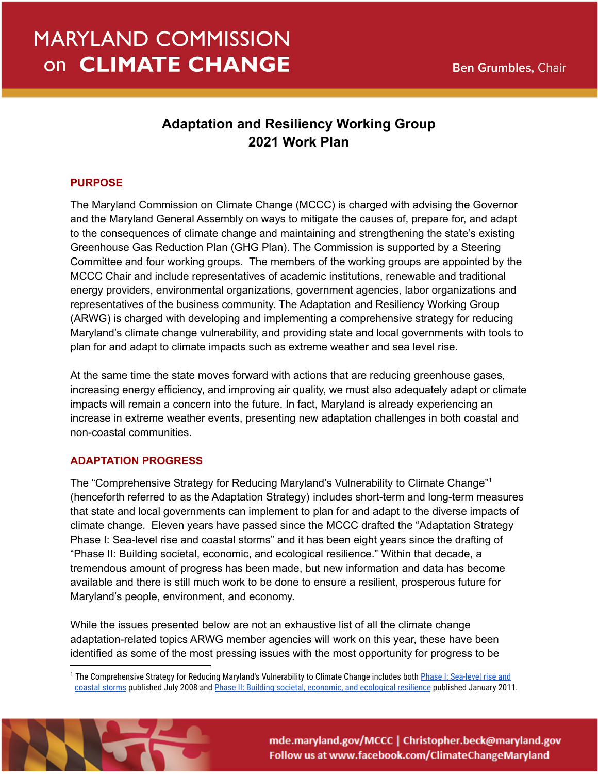# **MARYLAND COMMISSION** on CLIMATE CHANGE

# **Adaptation and Resiliency Working Group 2021 Work Plan**

## **PURPOSE**

The Maryland Commission on Climate Change (MCCC) is charged with advising the Governor and the Maryland General Assembly on ways to mitigate the causes of, prepare for, and adapt to the consequences of climate change and maintaining and strengthening the state's existing Greenhouse Gas Reduction Plan (GHG Plan). The Commission is supported by a Steering Committee and four working groups. The members of the working groups are appointed by the MCCC Chair and include representatives of academic institutions, renewable and traditional energy providers, environmental organizations, government agencies, labor organizations and representatives of the business community. The Adaptation and Resiliency Working Group (ARWG) is charged with developing and implementing a comprehensive strategy for reducing Maryland's climate change vulnerability, and providing state and local governments with tools to plan for and adapt to climate impacts such as extreme weather and sea level rise.

At the same time the state moves forward with actions that are reducing greenhouse gases, increasing energy efficiency, and improving air quality, we must also adequately adapt or climate impacts will remain a concern into the future. In fact, Maryland is already experiencing an increase in extreme weather events, presenting new adaptation challenges in both coastal and non-coastal communities.

## **ADAPTATION PROGRESS**

The "Comprehensive Strategy for Reducing Maryland's Vulnerability to Climate Change"<sup>1</sup> (henceforth referred to as the Adaptation Strategy) includes short-term and long-term measures that state and local governments can implement to plan for and adapt to the diverse impacts of climate change. Eleven years have passed since the MCCC drafted the "Adaptation Strategy Phase I: Sea-level rise and coastal storms" and it has been eight years since the drafting of "Phase II: Building societal, economic, and ecological resilience." Within that decade, a tremendous amount of progress has been made, but new information and data has become available and there is still much work to be done to ensure a resilient, prosperous future for Maryland's people, environment, and economy.

While the issues presented below are not an exhaustive list of all the climate change adaptation-related topics ARWG member agencies will work on this year, these have been identified as some of the most pressing issues with the most opportunity for progress to be

<sup>&</sup>lt;sup>1</sup> The Comprehensive Strategy for Reducing Maryland's Vulnerability to Climate Change includes both Phase [I: Sea-level rise and](https://www.adaptationclearinghouse.org/resources/comprehensive-strategy-for-reducing-maryland-s-vulnerability-to-climate-change-phase-i-sea-level-rise-and-coastal-storms.html) [coastal storms](https://www.adaptationclearinghouse.org/resources/comprehensive-strategy-for-reducing-maryland-s-vulnerability-to-climate-change-phase-i-sea-level-rise-and-coastal-storms.html) published July 2008 and Phase II: Building [societal, economic, and ecological resilience](https://www.adaptationclearinghouse.org/resources/comprehensive-strategy-for-reducing-maryland-s-vulnerability-to-climate-change-phase-ii-building-societal-economic-and-ecological-resilience.html) published January 2011.



mde.maryland.gov/MCCC | Christopher.beck@maryland.gov Follow us at www.facebook.com/ClimateChangeMaryland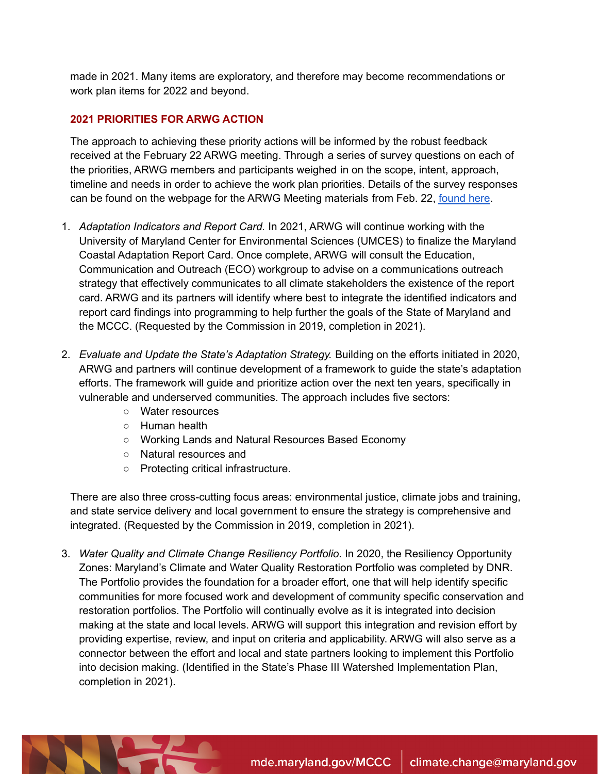made in 2021. Many items are exploratory, and therefore may become recommendations or work plan items for 2022 and beyond.

## **2021 PRIORITIES FOR ARWG ACTION**

The approach to achieving these priority actions will be informed by the robust feedback received at the February 22 ARWG meeting. Through a series of survey questions on each of the priorities, ARWG members and participants weighed in on the scope, intent, approach, timeline and needs in order to achieve the work plan priorities. Details of the survey responses can be found on the webpage for the ARWG Meeting materials from Feb. 22, [found](https://mde.maryland.gov/programs/Air/ClimateChange/MCCC/Pages/ARWG.aspx) here.

- 1. *Adaptation Indicators and Report Card.* In 2021, ARWG will continue working with the University of Maryland Center for Environmental Sciences (UMCES) to finalize the Maryland Coastal Adaptation Report Card. Once complete, ARWG will consult the Education, Communication and Outreach (ECO) workgroup to advise on a communications outreach strategy that effectively communicates to all climate stakeholders the existence of the report card. ARWG and its partners will identify where best to integrate the identified indicators and report card findings into programming to help further the goals of the State of Maryland and the MCCC. (Requested by the Commission in 2019, completion in 2021).
- 2. *Evaluate and Update the State's Adaptation Strategy.* Building on the efforts initiated in 2020, ARWG and partners will continue development of a framework to guide the state's adaptation efforts. The framework will guide and prioritize action over the next ten years, specifically in vulnerable and underserved communities. The approach includes five sectors:
	- Water resources
	- Human health
	- Working Lands and Natural Resources Based Economy
	- Natural resources and
	- Protecting critical infrastructure.

There are also three cross-cutting focus areas: environmental justice, climate jobs and training, and state service delivery and local government to ensure the strategy is comprehensive and integrated. (Requested by the Commission in 2019, completion in 2021).

3. *Water Quality and Climate Change Resiliency Portfolio.* In 2020, the Resiliency Opportunity Zones: Maryland's Climate and Water Quality Restoration Portfolio was completed by DNR. The Portfolio provides the foundation for a broader effort, one that will help identify specific communities for more focused work and development of community specific conservation and restoration portfolios. The Portfolio will continually evolve as it is integrated into decision making at the state and local levels. ARWG will support this integration and revision effort by providing expertise, review, and input on criteria and applicability. ARWG will also serve as a connector between the effort and local and state partners looking to implement this Portfolio into decision making. (Identified in the State's Phase III Watershed Implementation Plan, completion in 2021).

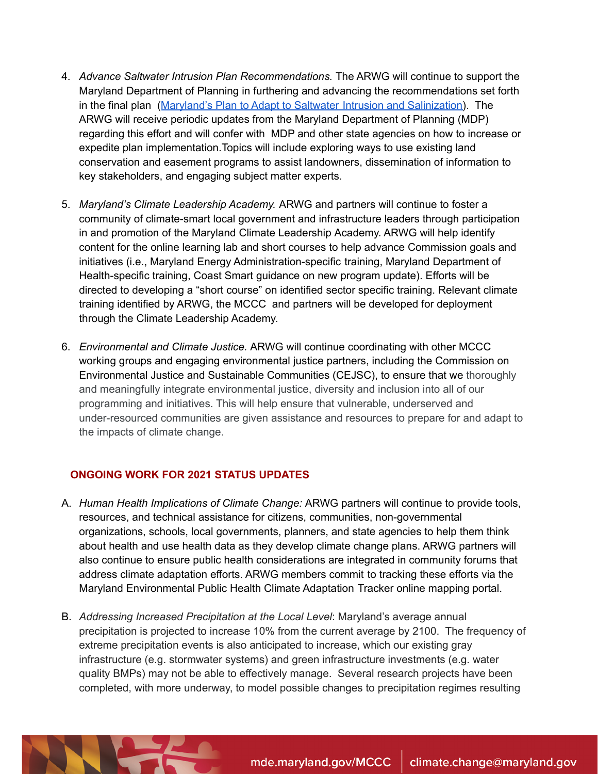- 4. *Advance Saltwater Intrusion Plan Recommendations.* The ARWG will continue to support the Maryland Department of Planning in furthering and advancing the recommendations set forth in the final plan (Maryland's Plan to Adapt to Saltwater Intrusion and [Salinization\)](https://planning.maryland.gov/Documents/OurWork/envr-planning/2019-1212-Marylands-plan-to-adapt-to-saltwater-intrusion-and-salinization.pdf). The ARWG will receive periodic updates from the Maryland Department of Planning (MDP) regarding this effort and will confer with MDP and other state agencies on how to increase or expedite plan implementation.Topics will include exploring ways to use existing land conservation and easement programs to assist landowners, dissemination of information to key stakeholders, and engaging subject matter experts.
- 5. *Maryland's Climate Leadership Academy.* ARWG and partners will continue to foster a community of climate-smart local government and infrastructure leaders through participation in and promotion of the Maryland Climate Leadership Academy. ARWG will help identify content for the online learning lab and short courses to help advance Commission goals and initiatives (i.e., Maryland Energy Administration-specific training, Maryland Department of Health-specific training, Coast Smart guidance on new program update). Efforts will be directed to developing a "short course" on identified sector specific training. Relevant climate training identified by ARWG, the MCCC and partners will be developed for deployment through the Climate Leadership Academy.
- 6. *Environmental and Climate Justice.* ARWG will continue coordinating with other MCCC working groups and engaging environmental justice partners, including the Commission on Environmental Justice and Sustainable Communities (CEJSC), to ensure that we thoroughly and meaningfully integrate environmental justice, diversity and inclusion into all of our programming and initiatives. This will help ensure that vulnerable, underserved and under-resourced communities are given assistance and resources to prepare for and adapt to the impacts of climate change.

## **ONGOING WORK FOR 2021 STATUS UPDATES**

- A. *Human Health Implications of Climate Change:* ARWG partners will continue to provide tools, resources, and technical assistance for citizens, communities, non-governmental organizations, schools, local governments, planners, and state agencies to help them think about health and use health data as they develop climate change plans. ARWG partners will also continue to ensure public health considerations are integrated in community forums that address climate adaptation efforts. ARWG members commit to tracking these efforts via the Maryland Environmental Public Health Climate Adaptation Tracker online mapping portal.
- B. *Addressing Increased Precipitation at the Local Level*: Maryland's average annual precipitation is projected to increase 10% from the current average by 2100. The frequency of extreme precipitation events is also anticipated to increase, which our existing gray infrastructure (e.g. stormwater systems) and green infrastructure investments (e.g. water quality BMPs) may not be able to effectively manage. Several research projects have been completed, with more underway, to model possible changes to precipitation regimes resulting

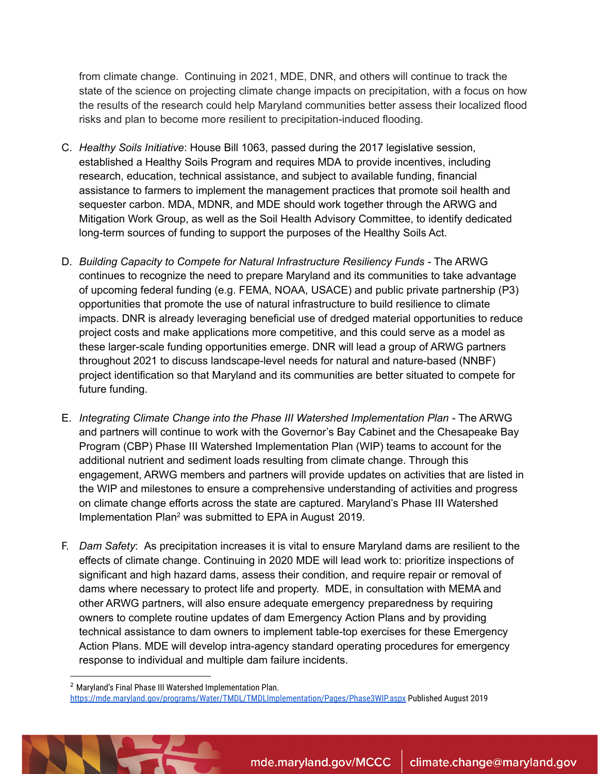from climate change. Continuing in 2021, MDE, DNR, and others will continue to track the state of the science on projecting climate change impacts on precipitation, with a focus on how the results of the research could help Maryland communities better assess their localized flood risks and plan to become more resilient to precipitation-induced flooding.

- C. *Healthy Soils Initiative*: House Bill 1063, passed during the 2017 legislative session, established a Healthy Soils Program and requires MDA to provide incentives, including research, education, technical assistance, and subject to available funding, financial assistance to farmers to implement the management practices that promote soil health and sequester carbon. MDA, MDNR, and MDE should work together through the ARWG and Mitigation Work Group, as well as the Soil Health Advisory Committee, to identify dedicated long-term sources of funding to support the purposes of the Healthy Soils Act.
- D. *Building Capacity to Compete for Natural Infrastructure Resiliency Funds -* The ARWG continues to recognize the need to prepare Maryland and its communities to take advantage of upcoming federal funding (e.g. FEMA, NOAA, USACE) and public private partnership (P3) opportunities that promote the use of natural infrastructure to build resilience to climate impacts. DNR is already leveraging beneficial use of dredged material opportunities to reduce project costs and make applications more competitive, and this could serve as a model as these larger-scale funding opportunities emerge. DNR will lead a group of ARWG partners throughout 2021 to discuss landscape-level needs for natural and nature-based (NNBF) project identification so that Maryland and its communities are better situated to compete for future funding.
- E. *Integrating Climate Change into the Phase III Watershed Implementation Plan -* The ARWG and partners will continue to work with the Governor's Bay Cabinet and the Chesapeake Bay Program (CBP) Phase III Watershed Implementation Plan (WIP) teams to account for the additional nutrient and sediment loads resulting from climate change. Through this engagement, ARWG members and partners will provide updates on activities that are listed in the WIP and milestones to ensure a comprehensive understanding of activities and progress on climate change efforts across the state are captured. Maryland's Phase III Watershed Implementation Plan <sup>2</sup> was submitted to EPA in August 2019.
- F. *Dam Safety*: As precipitation increases it is vital to ensure Maryland dams are resilient to the effects of climate change. Continuing in 2020 MDE will lead work to: prioritize inspections of significant and high hazard dams, assess their condition, and require repair or removal of dams where necessary to protect life and property. MDE, in consultation with MEMA and other ARWG partners, will also ensure adequate emergency preparedness by requiring owners to complete routine updates of dam Emergency Action Plans and by providing technical assistance to dam owners to implement table-top exercises for these Emergency Action Plans. MDE will develop intra-agency standard operating procedures for emergency response to individual and multiple dam failure incidents.

<sup>2</sup> Maryland's Final Phase III Watershed Implementation Plan. <https://mde.maryland.gov/programs/Water/TMDL/TMDLImplementation/Pages/Phase3WIP.aspx> Published August 2019

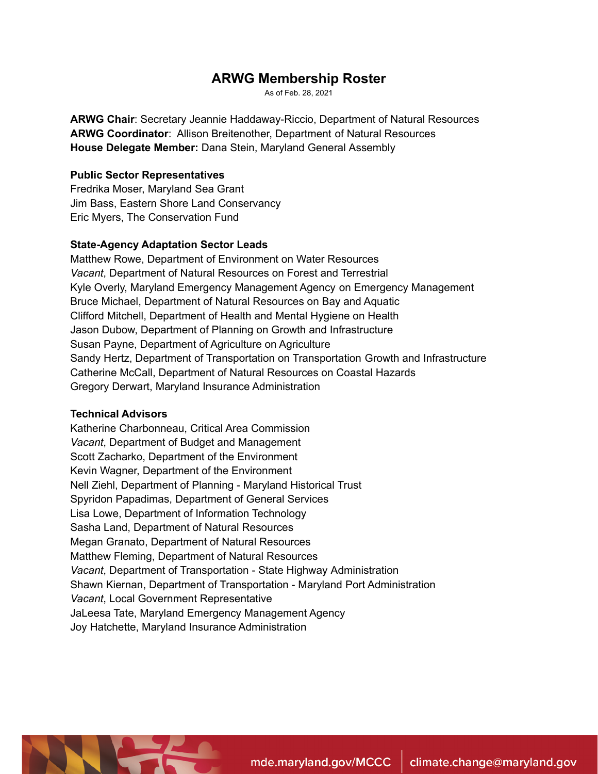## **ARWG Membership Roster**

As of Feb. 28, 2021

**ARWG Chair**: Secretary Jeannie Haddaway-Riccio, Department of Natural Resources **ARWG Coordinator**: Allison Breitenother, Department of Natural Resources **House Delegate Member:** Dana Stein, Maryland General Assembly

#### **Public Sector Representatives**

Fredrika Moser, Maryland Sea Grant Jim Bass, Eastern Shore Land Conservancy Eric Myers, The Conservation Fund

### **State-Agency Adaptation Sector Leads**

Matthew Rowe, Department of Environment on Water Resources *Vacant*, Department of Natural Resources on Forest and Terrestrial Kyle Overly, Maryland Emergency Management Agency on Emergency Management Bruce Michael, Department of Natural Resources on Bay and Aquatic Clifford Mitchell, Department of Health and Mental Hygiene on Health Jason Dubow, Department of Planning on Growth and Infrastructure Susan Payne, Department of Agriculture on Agriculture Sandy Hertz, Department of Transportation on Transportation Growth and Infrastructure Catherine McCall, Department of Natural Resources on Coastal Hazards Gregory Derwart, Maryland Insurance Administration

#### **Technical Advisors**

Katherine Charbonneau, Critical Area Commission *Vacant*, Department of Budget and Management Scott Zacharko, Department of the Environment Kevin Wagner, Department of the Environment Nell Ziehl, Department of Planning - Maryland Historical Trust Spyridon Papadimas, Department of General Services Lisa Lowe, Department of Information Technology Sasha Land, Department of Natural Resources Megan Granato, Department of Natural Resources Matthew Fleming, Department of Natural Resources *Vacant*, Department of Transportation - State Highway Administration Shawn Kiernan, Department of Transportation - Maryland Port Administration *Vacant*, Local Government Representative JaLeesa Tate, Maryland Emergency Management Agency Joy Hatchette, Maryland Insurance Administration